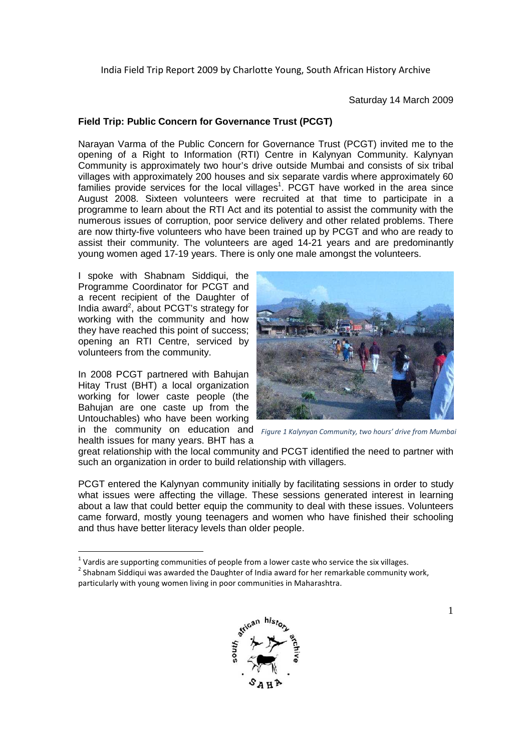Saturday 14 March 2009

# **Field Trip: Public Concern for Governance Trust (PCGT)**

Narayan Varma of the Public Concern for Governance Trust (PCGT) invited me to the opening of a Right to Information (RTI) Centre in Kalynyan Community. Kalynyan Community is approximately two hour's drive outside Mumbai and consists of six tribal villages with approximately 200 houses and six separate vardis where approximately 60 families provide services for the local villages<sup>1</sup>. PCGT have worked in the area since August 2008. Sixteen volunteers were recruited at that time to participate in a programme to learn about the RTI Act and its potential to assist the community with the numerous issues of corruption, poor service delivery and other related problems. There are now thirty-five volunteers who have been trained up by PCGT and who are ready to assist their community. The volunteers are aged 14-21 years and are predominantly young women aged 17-19 years. There is only one male amongst the volunteers.

I spoke with Shabnam Siddiqui, the Programme Coordinator for PCGT and a recent recipient of the Daughter of India award<sup>2</sup>, about PCGT's strategy for working with the community and how they have reached this point of success; opening an RTI Centre, serviced by volunteers from the community.

In 2008 PCGT partnered with Bahujan Hitay Trust (BHT) a local organization working for lower caste people (the Bahujan are one caste up from the Untouchables) who have been working

health issues for many years. BHT has a



in the community on education and *Figure 1 Kalynyan Community, two hours' drive from Mumbai*

great relationship with the local community and PCGT identified the need to partner with such an organization in order to build relationship with villagers.

PCGT entered the Kalynyan community initially by facilitating sessions in order to study what issues were affecting the village. These sessions generated interest in learning about a law that could better equip the community to deal with these issues. Volunteers came forward, mostly young teenagers and women who have finished their schooling and thus have better literacy levels than older people.

 $^{2}$  Shabnam Siddiqui was awarded the Daughter of India award for her remarkable community work, particularly with young women living in poor communities in Maharashtra.



<sup>-</sup> $1$  Vardis are supporting communities of people from a lower caste who service the six villages.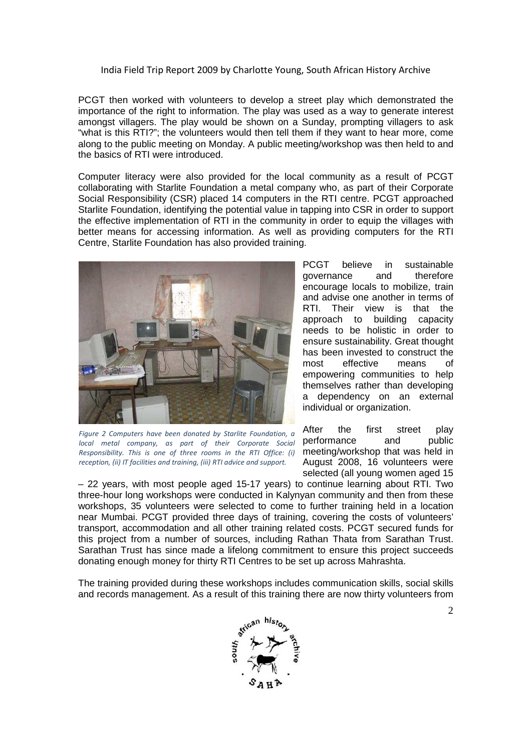PCGT then worked with volunteers to develop a street play which demonstrated the importance of the right to information. The play was used as a way to generate interest amongst villagers. The play would be shown on a Sunday, prompting villagers to ask "what is this RTI?"; the volunteers would then tell them if they want to hear more, come along to the public meeting on Monday. A public meeting/workshop was then held to and the basics of RTI were introduced.

Computer literacy were also provided for the local community as a result of PCGT collaborating with Starlite Foundation a metal company who, as part of their Corporate Social Responsibility (CSR) placed 14 computers in the RTI centre. PCGT approached Starlite Foundation, identifying the potential value in tapping into CSR in order to support the effective implementation of RTI in the community in order to equip the villages with better means for accessing information. As well as providing computers for the RTI Centre, Starlite Foundation has also provided training.



*Figure 2 Computers have been donated by Starlite Foundation, a local metal company, as part of their Corporate Social Responsibility. This is one of three rooms in the RTI Office: (i) reception, (ii) IT facilities and training, (iii) RTI advice and support.* 

PCGT believe in sustainable governance and therefore encourage locals to mobilize, train and advise one another in terms of RTI. Their view is that the approach to building capacity needs to be holistic in order to ensure sustainability. Great thought has been invested to construct the most effective means of empowering communities to help themselves rather than developing a dependency on an external individual or organization.

After the first street play performance and public meeting/workshop that was held in August 2008, 16 volunteers were selected (all young women aged 15

– 22 years, with most people aged 15-17 years) to continue learning about RTI. Two three-hour long workshops were conducted in Kalynyan community and then from these workshops, 35 volunteers were selected to come to further training held in a location near Mumbai. PCGT provided three days of training, covering the costs of volunteers' transport, accommodation and all other training related costs. PCGT secured funds for this project from a number of sources, including Rathan Thata from Sarathan Trust. Sarathan Trust has since made a lifelong commitment to ensure this project succeeds donating enough money for thirty RTI Centres to be set up across Mahrashta.

The training provided during these workshops includes communication skills, social skills and records management. As a result of this training there are now thirty volunteers from

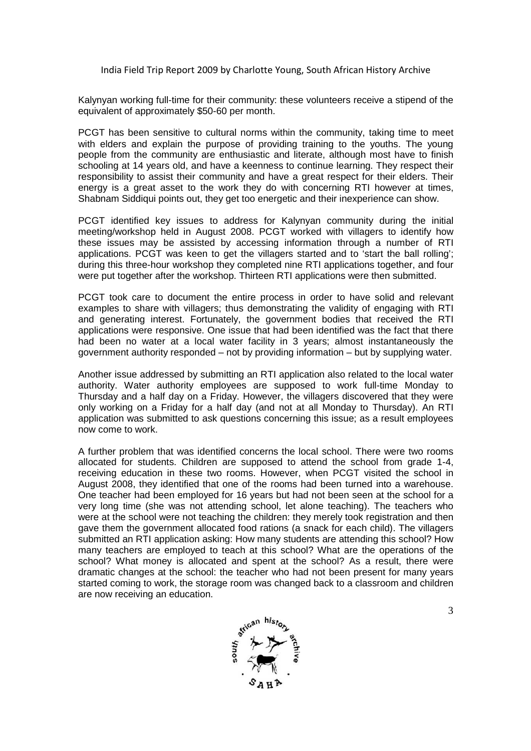Kalynyan working full-time for their community: these volunteers receive a stipend of the equivalent of approximately \$50-60 per month.

PCGT has been sensitive to cultural norms within the community, taking time to meet with elders and explain the purpose of providing training to the youths. The young people from the community are enthusiastic and literate, although most have to finish schooling at 14 years old, and have a keenness to continue learning. They respect their responsibility to assist their community and have a great respect for their elders. Their energy is a great asset to the work they do with concerning RTI however at times, Shabnam Siddiqui points out, they get too energetic and their inexperience can show.

PCGT identified key issues to address for Kalynyan community during the initial meeting/workshop held in August 2008. PCGT worked with villagers to identify how these issues may be assisted by accessing information through a number of RTI applications. PCGT was keen to get the villagers started and to 'start the ball rolling'; during this three-hour workshop they completed nine RTI applications together, and four were put together after the workshop. Thirteen RTI applications were then submitted.

PCGT took care to document the entire process in order to have solid and relevant examples to share with villagers; thus demonstrating the validity of engaging with RTI and generating interest. Fortunately, the government bodies that received the RTI applications were responsive. One issue that had been identified was the fact that there had been no water at a local water facility in 3 years; almost instantaneously the government authority responded – not by providing information – but by supplying water.

Another issue addressed by submitting an RTI application also related to the local water authority. Water authority employees are supposed to work full-time Monday to Thursday and a half day on a Friday. However, the villagers discovered that they were only working on a Friday for a half day (and not at all Monday to Thursday). An RTI application was submitted to ask questions concerning this issue; as a result employees now come to work.

A further problem that was identified concerns the local school. There were two rooms allocated for students. Children are supposed to attend the school from grade 1-4, receiving education in these two rooms. However, when PCGT visited the school in August 2008, they identified that one of the rooms had been turned into a warehouse. One teacher had been employed for 16 years but had not been seen at the school for a very long time (she was not attending school, let alone teaching). The teachers who were at the school were not teaching the children: they merely took registration and then gave them the government allocated food rations (a snack for each child). The villagers submitted an RTI application asking: How many students are attending this school? How many teachers are employed to teach at this school? What are the operations of the school? What money is allocated and spent at the school? As a result, there were dramatic changes at the school: the teacher who had not been present for many years started coming to work, the storage room was changed back to a classroom and children are now receiving an education.

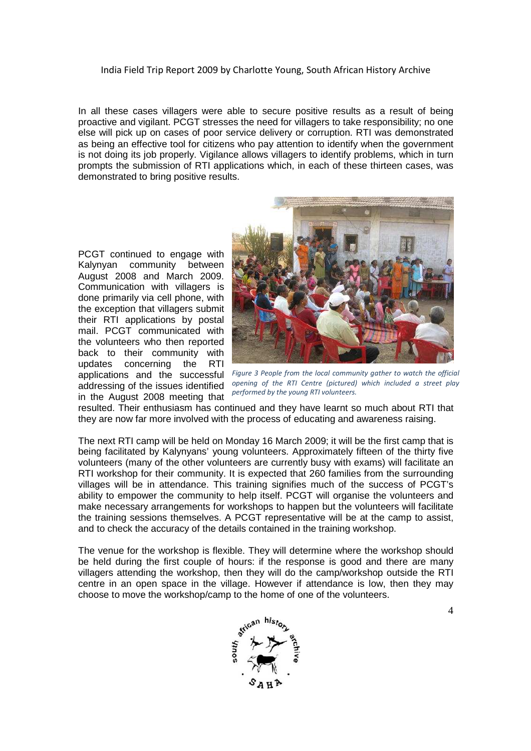In all these cases villagers were able to secure positive results as a result of being proactive and vigilant. PCGT stresses the need for villagers to take responsibility; no one else will pick up on cases of poor service delivery or corruption. RTI was demonstrated as being an effective tool for citizens who pay attention to identify when the government is not doing its job properly. Vigilance allows villagers to identify problems, which in turn prompts the submission of RTI applications which, in each of these thirteen cases, was demonstrated to bring positive results.

PCGT continued to engage with Kalynyan community between August 2008 and March 2009. Communication with villagers is done primarily via cell phone, with the exception that villagers submit their RTI applications by postal mail. PCGT communicated with the volunteers who then reported back to their community with updates concerning the RTI addressing of the issues identified in the August 2008 meeting that



applications and the successful *Figure 3 People from the local community gather to watch the official opening of the RTI Centre (pictured) which included a street play performed by the young RTI volunteers.* 

resulted. Their enthusiasm has continued and they have learnt so much about RTI that they are now far more involved with the process of educating and awareness raising.

The next RTI camp will be held on Monday 16 March 2009; it will be the first camp that is being facilitated by Kalynyans' young volunteers. Approximately fifteen of the thirty five volunteers (many of the other volunteers are currently busy with exams) will facilitate an RTI workshop for their community. It is expected that 260 families from the surrounding villages will be in attendance. This training signifies much of the success of PCGT's ability to empower the community to help itself. PCGT will organise the volunteers and make necessary arrangements for workshops to happen but the volunteers will facilitate the training sessions themselves. A PCGT representative will be at the camp to assist, and to check the accuracy of the details contained in the training workshop.

The venue for the workshop is flexible. They will determine where the workshop should be held during the first couple of hours: if the response is good and there are many villagers attending the workshop, then they will do the camp/workshop outside the RTI centre in an open space in the village. However if attendance is low, then they may choose to move the workshop/camp to the home of one of the volunteers.

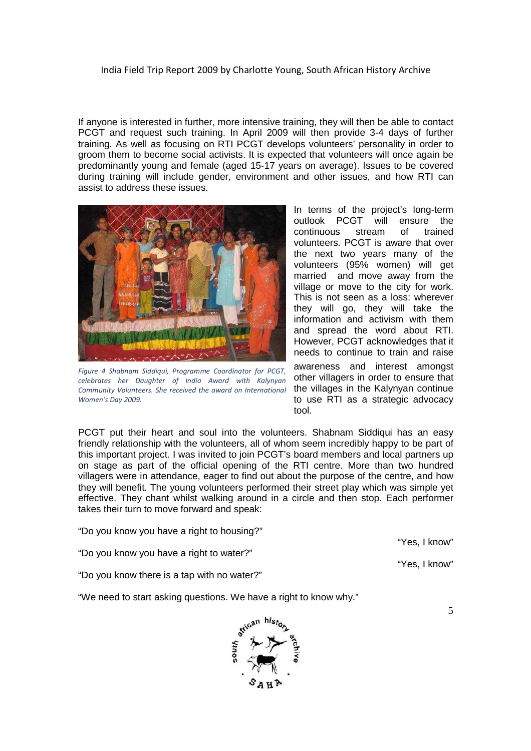If anyone is interested in further, more intensive training, they will then be able to contact PCGT and request such training. In April 2009 will then provide 3-4 days of further training. As well as focusing on RTI PCGT develops volunteers' personality in order to groom them to become social activists. It is expected that volunteers will once again be predominantly young and female (aged 15-17 years on average). Issues to be covered during training will include gender, environment and other issues, and how RTI can assist to address these issues.



*Figure 4 Shabnam Siddiqui, Programme Coordinator for PCGT, celebrates her Daughter of India Award with Kalynyan Community Volunteers. She received the award on International Women's Day 2009.*

In terms of the project's long-term outlook PCGT will ensure the continuous stream of trained volunteers. PCGT is aware that over the next two years many of the volunteers (95% women) will get married and move away from the village or move to the city for work. This is not seen as a loss: wherever they will go, they will take the information and activism with them and spread the word about RTI. However, PCGT acknowledges that it needs to continue to train and raise

awareness and interest amongst other villagers in order to ensure that the villages in the Kalynyan continue to use RTI as a strategic advocacy tool.

PCGT put their heart and soul into the volunteers. Shabnam Siddiqui has an easy friendly relationship with the volunteers, all of whom seem incredibly happy to be part of this important project. I was invited to join PCGT's board members and local partners up on stage as part of the official opening of the RTI centre. More than two hundred villagers were in attendance, eager to find out about the purpose of the centre, and how they will benefit. The young volunteers performed their street play which was simple yet effective. They chant whilst walking around in a circle and then stop. Each performer takes their turn to move forward and speak:

"Do you know you have a right to housing?"

"Do you know you have a right to water?"

"Do you know there is a tap with no water?"

"We need to start asking questions. We have a right to know why."



"Yes, I know"

"Yes, I know"

5